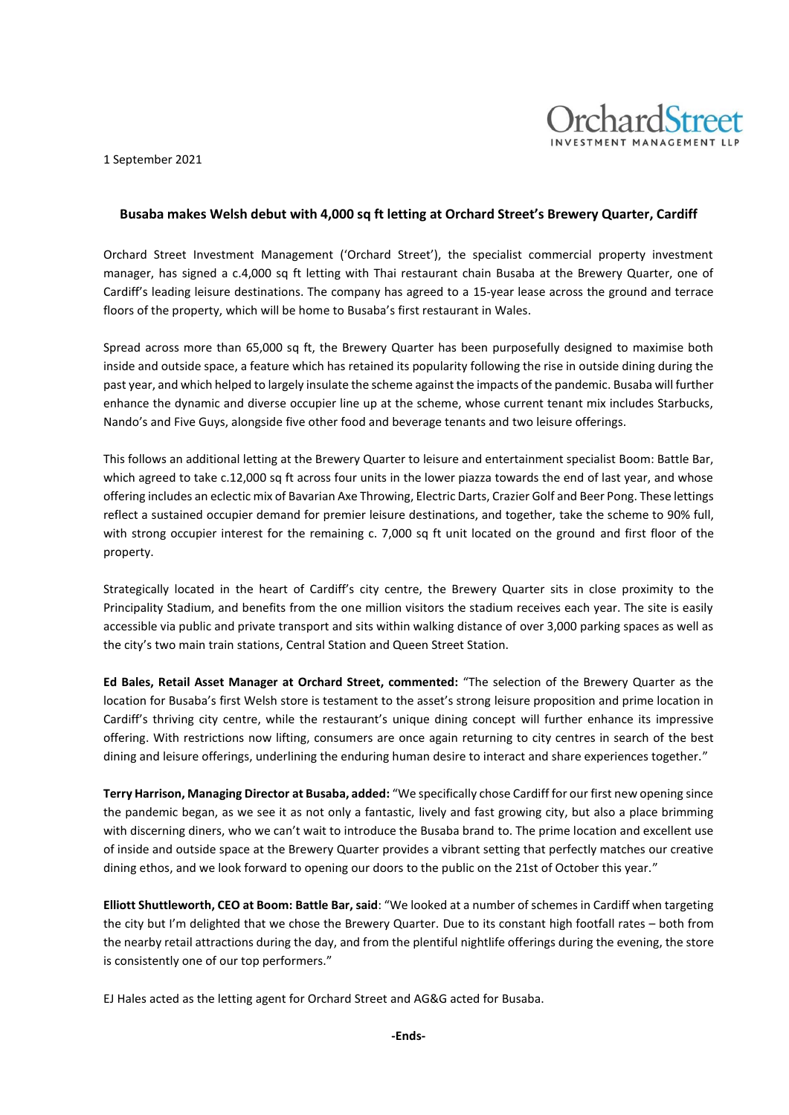1 September 2021



**chardStreet** 

Orchard Street Investment Management ('Orchard Street'), the specialist commercial property investment manager, has signed a c.4,000 sq ft letting with Thai restaurant chain Busaba at the Brewery Quarter, one of Cardiff's leading leisure destinations. The company has agreed to a 15-year lease across the ground and terrace floors of the property, which will be home to Busaba's first restaurant in Wales.

Spread across more than 65,000 sq ft, the Brewery Quarter has been purposefully designed to maximise both inside and outside space, a feature which has retained its popularity following the rise in outside dining during the past year, and which helped to largely insulate the scheme against the impacts of the pandemic. Busaba will further enhance the dynamic and diverse occupier line up at the scheme, whose current tenant mix includes Starbucks, Nando's and Five Guys, alongside five other food and beverage tenants and two leisure offerings.

This follows an additional letting at the Brewery Quarter to leisure and entertainment specialist Boom: Battle Bar, which agreed to take c.12,000 sq ft across four units in the lower piazza towards the end of last year, and whose offering includes an eclectic mix of Bavarian Axe Throwing, Electric Darts, Crazier Golf and Beer Pong. These lettings reflect a sustained occupier demand for premier leisure destinations, and together, take the scheme to 90% full, with strong occupier interest for the remaining c. 7,000 sq ft unit located on the ground and first floor of the property.

Strategically located in the heart of Cardiff's city centre, the Brewery Quarter sits in close proximity to the Principality Stadium, and benefits from the one million visitors the stadium receives each year. The site is easily accessible via public and private transport and sits within walking distance of over 3,000 parking spaces as well as the city's two main train stations, Central Station and Queen Street Station.

**Ed Bales, Retail Asset Manager at Orchard Street, commented:** "The selection of the Brewery Quarter as the location for Busaba's first Welsh store is testament to the asset's strong leisure proposition and prime location in Cardiff's thriving city centre, while the restaurant's unique dining concept will further enhance its impressive offering. With restrictions now lifting, consumers are once again returning to city centres in search of the best dining and leisure offerings, underlining the enduring human desire to interact and share experiences together."

**Terry Harrison, Managing Director at Busaba, added:** "We specifically chose Cardiff for our first new opening since the pandemic began, as we see it as not only a fantastic, lively and fast growing city, but also a place brimming with discerning diners, who we can't wait to introduce the Busaba brand to. The prime location and excellent use of inside and outside space at the Brewery Quarter provides a vibrant setting that perfectly matches our creative dining ethos, and we look forward to opening our doors to the public on the 21st of October this year."

**Elliott Shuttleworth, CEO at Boom: Battle Bar, said**: "We looked at a number of schemes in Cardiff when targeting the city but I'm delighted that we chose the Brewery Quarter. Due to its constant high footfall rates – both from the nearby retail attractions during the day, and from the plentiful nightlife offerings during the evening, the store is consistently one of our top performers."

EJ Hales acted as the letting agent for Orchard Street and AG&G acted for Busaba.